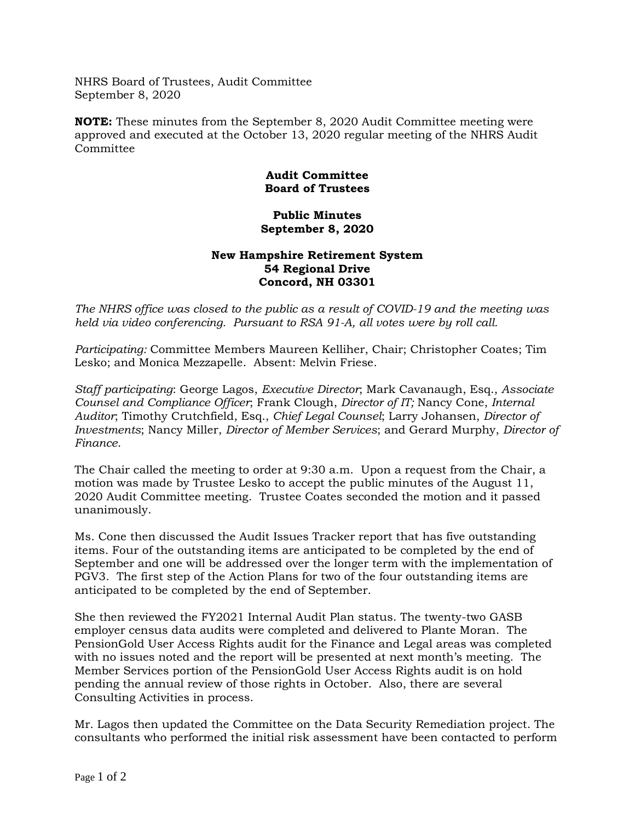NHRS Board of Trustees, Audit Committee September 8, 2020

**NOTE:** These minutes from the September 8, 2020 Audit Committee meeting were approved and executed at the October 13, 2020 regular meeting of the NHRS Audit Committee

## **Audit Committee Board of Trustees**

## **Public Minutes September 8, 2020**

## **New Hampshire Retirement System 54 Regional Drive Concord, NH 03301**

*The NHRS office was closed to the public as a result of COVID-19 and the meeting was held via video conferencing. Pursuant to RSA 91-A, all votes were by roll call.*

*Participating:* Committee Members Maureen Kelliher, Chair; Christopher Coates; Tim Lesko; and Monica Mezzapelle. Absent: Melvin Friese.

*Staff participating*: George Lagos, *Executive Director*; Mark Cavanaugh, Esq., *Associate Counsel and Compliance Officer*; Frank Clough, *Director of IT;* Nancy Cone, *Internal Auditor*; Timothy Crutchfield, Esq., *Chief Legal Counsel*; Larry Johansen, *Director of Investments*; Nancy Miller, *Director of Member Services*; and Gerard Murphy, *Director of Finance*.

The Chair called the meeting to order at 9:30 a.m. Upon a request from the Chair, a motion was made by Trustee Lesko to accept the public minutes of the August 11, 2020 Audit Committee meeting. Trustee Coates seconded the motion and it passed unanimously.

Ms. Cone then discussed the Audit Issues Tracker report that has five outstanding items. Four of the outstanding items are anticipated to be completed by the end of September and one will be addressed over the longer term with the implementation of PGV3. The first step of the Action Plans for two of the four outstanding items are anticipated to be completed by the end of September.

She then reviewed the FY2021 Internal Audit Plan status. The twenty-two GASB employer census data audits were completed and delivered to Plante Moran. The PensionGold User Access Rights audit for the Finance and Legal areas was completed with no issues noted and the report will be presented at next month's meeting. The Member Services portion of the PensionGold User Access Rights audit is on hold pending the annual review of those rights in October. Also, there are several Consulting Activities in process.

Mr. Lagos then updated the Committee on the Data Security Remediation project. The consultants who performed the initial risk assessment have been contacted to perform